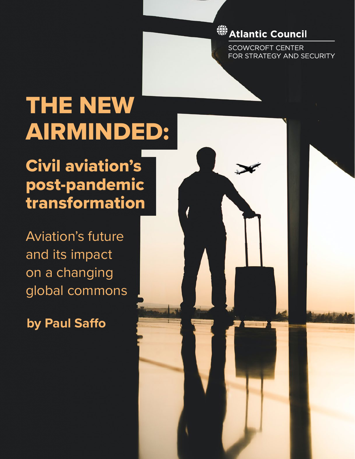## 

**SCOWCROFT CENTER** FOR STRATEGY AND SECURITY

# THE NEW AIRMINDED:

THE NEW AIRMINDED: CIVIL AVIATION'S POST-PANDEMIC TRANSFORAMTION

Civil aviation's post-pandemic transformation

Aviation's future and its impact on a changing global commons

**by Paul Saffo**

I ATLANTIC COUNCIL COUNCIL COUNCIL COUNCIL COUNCIL COUNCIL COUNCIL COUNCIL COUNCIL COUNCIL COUNCIL COUNCIL COUNCIL COUNCIL COUNCIL COUNCIL COUNCIL COUNCIL COUNCIL COUNCIL COUNCIL COUNCIL COUNCIL COUNCIL COUNCIL COUNCIL COU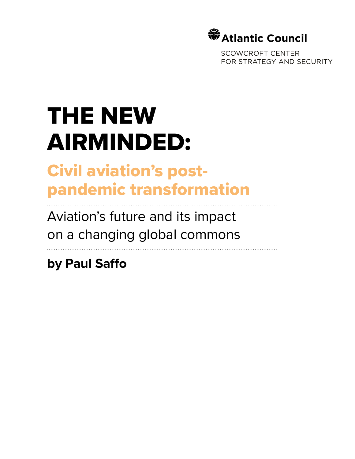

SCOWCROFT CENTER FOR STRATEGY AND SECURITY

# THE NEW AIRMINDED:

## Civil aviation's postpandemic transformation

Aviation's future and its impact on a changing global commons

**by Paul Saffo**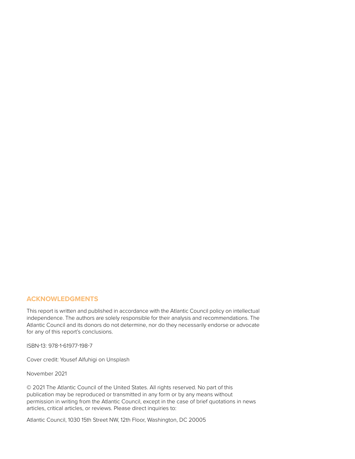#### **ACKNOWLEDGMENTS**

This report is written and published in accordance with the Atlantic Council policy on intellectual independence. The authors are solely responsible for their analysis and recommendations. The Atlantic Council and its donors do not determine, nor do they necessarily endorse or advocate for any of this report's conclusions.

ISBN-13: 978-1-61977-198-7

Cover credit: [Yousef Alfuhigi](https://unsplash.com/@yousefalfuhigi?utm_source=unsplash&utm_medium=referral&utm_content=creditCopyText) on [Unsplash](https://unsplash.com/?utm_source=unsplash&utm_medium=referral&utm_content=creditCopyText)

November 2021

© 2021 The Atlantic Council of the United States. All rights reserved. No part of this publication may be reproduced or transmitted in any form or by any means without permission in writing from the Atlantic Council, except in the case of brief quotations in news articles, critical articles, or reviews. Please direct inquiries to:

Atlantic Council, 1030 15th Street NW, 12th Floor, Washington, DC 20005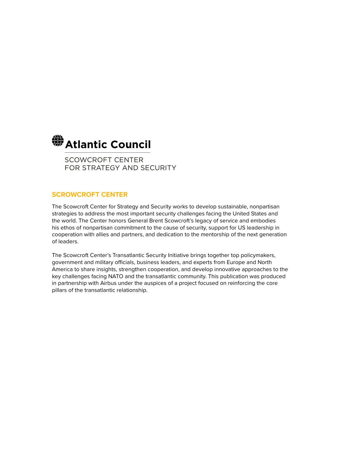

SCOWCROFT CENTER FOR STRATEGY AND SECURITY

#### **SCROWCROFT CENTER**

The Scowcroft Center for Strategy and Security works to develop sustainable, nonpartisan strategies to address the most important security challenges facing the United States and the world. The Center honors General Brent Scowcroft's legacy of service and embodies his ethos of nonpartisan commitment to the cause of security, support for US leadership in cooperation with allies and partners, and dedication to the mentorship of the next generation of leaders.

The Scowcroft Center's Transatlantic Security Initiative brings together top policymakers, government and military officials, business leaders, and experts from Europe and North America to share insights, strengthen cooperation, and develop innovative approaches to the key challenges facing NATO and the transatlantic community. This publication was produced in partnership with Airbus under the auspices of a project focused on reinforcing the core pillars of the transatlantic relationship.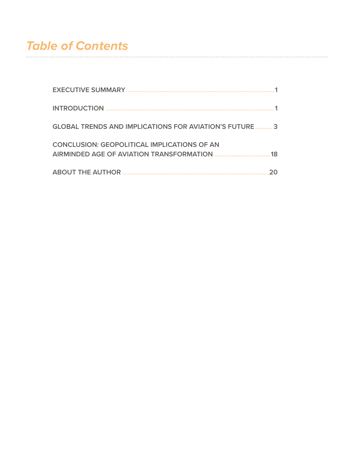#### **Table of Contents**

| <b>GLOBAL TRENDS AND IMPLICATIONS FOR AVIATION'S FUTURE  3</b> |    |
|----------------------------------------------------------------|----|
| <b>CONCLUSION: GEOPOLITICAL IMPLICATIONS OF AN</b>             | 18 |
|                                                                |    |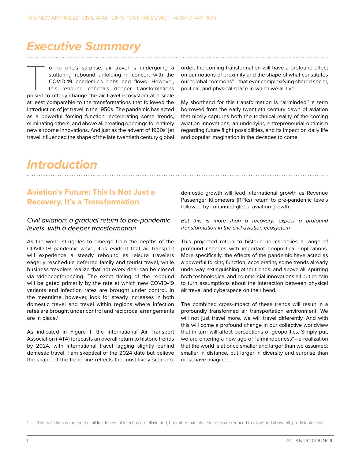## <span id="page-5-0"></span>*Executive Summary*

o no one's surprise, air travel is undergoing a stuttering rebound unfolding in concert with the COVID-19 pandemic's ebbs and flows. However, this rebound conceals deeper transformations poised to utterly change the air tr stuttering rebound unfolding in concert with the COVID-19 pandemic's ebbs and flows. However, this rebound conceals deeper transformations at least comparable to the transformations that followed the introduction of jet travel in the 1950s. The pandemic has acted as a powerful forcing function, accelerating some trends, eliminating others, and above all creating openings for entirely new airborne innovations. And just as the advent of 1950s' jet travel influenced the shape of the late twentieth century global

order, the coming transformation will have a profound effect on our notions of proximity and the shape of what constitutes our "global commons"—that ever complexifying shared social, political, and physical space in which we all live.

My shorthand for this transformation is "airminded," a term borrowed from the early twentieth century dawn of aviation that nicely captures both the technical reality of the coming aviation innovations, an underlying entrepreneurial optimism regarding future flight possibilities, and its impact on daily life and popular imagination in the decades to come.

## *Introduction*

#### **Aviation's Future: This Is Not Just a Recovery, It's a Transformation**

#### *Civil aviation: a gradual return to pre-pandemic levels, with a deeper transformation*

As the world struggles to emerge from the depths of the COVID-19 pandemic wave, it is evident that air transport will experience a steady rebound as leisure travelers eagerly reschedule deferred family and tourist travel, while business travelers realize that not every deal can be closed via videoconferencing. The exact timing of the rebound will be gated primarily by the rate at which new COVID-19 variants and infection rates are brought under control. In the meantime, however, look for steady increases in both domestic travel and travel within regions where infection rates are brought under control and reciprocal arrangements are in place.<sup>1</sup>

As indicated in Figure 1, the International Air Transport Association (IATA) forecasts an overall return to historic trends by 2024, with international travel lagging slightly behind domestic travel. I am skeptical of the 2024 date but believe the shape of the trend line reflects the most likely scenario: domestic growth will lead international growth as Revenue Passenger Kilometers (RPKs) return to pre-pandemic levels followed by continued global aviation growth.

*But this is more than a recovery: expect a profound transformation in the civil aviation ecosystem*

This projected return to historic norms belies a range of profound changes with important geopolitical implications. More specifically, the effects of the pandemic have acted as a powerful forcing function, accelerating some trends already underway, extinguishing other trends, and above all, spurring both technological and commercial innovations all but certain to turn assumptions about the interaction between physical air travel and cyberspace on their head.

The combined cross-impact of these trends will result in a profoundly transformed air transportation environment. We will not just travel more, we will travel differently. And with this will come a profound change in our collective worldview that in turn will affect perceptions of geopolitics. Simply put, we are entering a new age of "airmindedness"—a realization that the world is at once smaller and larger than we assumed: smaller in distance, but larger in diversity and surprise than most have imagined.

<sup>1</sup> "Control" does not mean that all incidences of infection are eliminated, but rather that infection rates are reduced to a low, and above all, predictable level.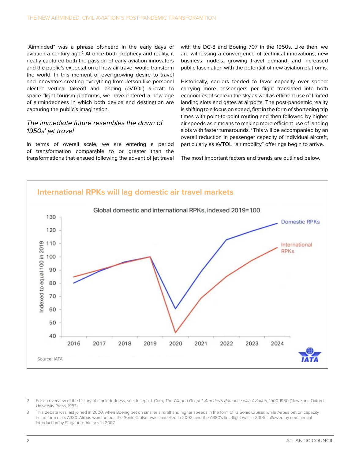"Airminded" was a phrase oft-heard in the early days of aviation a century ago.<sup>2</sup> At once both prophecy and reality, it neatly captured both the passion of early aviation innovators and the public's expectation of how air travel would transform the world. In this moment of ever-growing desire to travel and innovators creating everything from Jetson-like personal electric vertical takeoff and landing (eVTOL) aircraft to space flight tourism platforms, we have entered a new age of airmindedness in which both device and destination are capturing the public's imagination.

#### *The immediate future resembles the dawn of 1950s' jet travel*

In terms of overall scale, we are entering a period of transformation comparable to or greater than the transformations that ensued following the advent of jet travel with the DC-8 and Boeing 707 in the 1950s. Like then, we are witnessing a convergence of technical innovations, new business models, growing travel demand, and increased public fascination with the potential of new aviation platforms.

Historically, carriers tended to favor capacity over speed: carrying more passengers per flight translated into both economies of scale in the sky as well as efficient use of limited landing slots and gates at airports. The post-pandemic reality is shifting to a focus on speed, first in the form of shortening trip times with point-to-point routing and then followed by higher air speeds as a means to making more efficient use of landing slots with faster turnarounds.<sup>3</sup> This will be accompanied by an overall reduction in passenger capacity of individual aircraft, particularly as eVTOL "air mobility" offerings begin to arrive.

The most important factors and trends are outlined below.



<sup>2</sup> For an overview of the history of airmindedness, see Joseph J. Corn, *The Winged Gospel: America's Romance with Aviation*, 1900-1950 (New York: Oxford University Press, 1983).

<sup>3</sup> This debate was last joined in 2000, when Boeing bet on smaller aircraft and higher speeds in the form of its Sonic Cruiser, while Airbus bet on capacity in the form of its A380. Airbus won the bet: the Sonic Cruiser was cancelled in 2002, and the A380's first flight was in 2005, followed by commercial introduction by Singapore Airlines in 2007.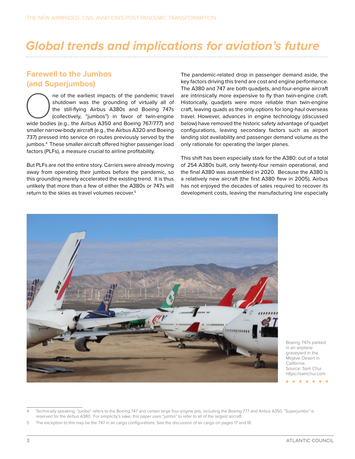## <span id="page-7-0"></span>*Global trends and implications for aviation's future*

#### **Farewell to the Jumbos (and Superjumbos)**

ne of the earliest impacts of the pandemic travel<br>
shutdown was the grounding of virtually all of<br>
the still-flying Airbus A380s and Boeing 747s<br>
(collectively, "jumbos") in favor of twin-engine<br>
wide bodies (e.g., the Air shutdown was the grounding of virtually all of the still-flying Airbus A380s and Boeing 747s (collectively, "jumbos") in favor of twin-engine smaller narrow-body aircraft (e.g., the Airbus A320 and Boeing 737) pressed into service on routes previously served by the jumbos.4 These smaller aircraft offered higher passenger load factors (PLFs), a measure crucial to airline profitability.

But PLFs are not the entire story. Carriers were already moving away from operating their jumbos before the pandemic, so this grounding merely accelerated the existing trend. It is thus unlikely that more than a few of either the A380s or 747s will return to the skies as travel volumes recover.5

The pandemic-related drop in passenger demand aside, the key factors driving this trend are cost and engine performance. The A380 and 747 are both quadjets, and four-engine aircraft are intrinsically more expensive to fly than twin-engine craft. Historically, quadjets were more reliable than twin-engine craft, leaving quads as the only options for long-haul overseas travel. However, advances in engine technology (discussed below) have removed the historic safety advantage of quadjet configurations, leaving secondary factors such as airport landing slot availability and passenger demand volume as the only rationale for operating the larger planes.

This shift has been especially stark for the A380: out of a total of 254 A380s built, only twenty-four remain operational, and the final A380 was assembled in 2020. Because the A380 is a relatively new aircraft (the first A380 flew in 2005), Airbus has not enjoyed the decades of sales required to recover its development costs, leaving the manufacturing line especially



Boeing 747s parked in an airplane graveyard in the Mojave Desert in California Source: Sam Chui <https://samchui.com>

Technically speaking, "jumbo" refers to the Boeing 747 and certain large four-engine jets, including the Boeing 777 and Airbus A350. "Superjumbo" is reserved for the Airbus A380. For simplicity's sake, this paper uses "jumbo" to refer to all of the largest aircraft.

<sup>5</sup> The exception to this may be the 747 in air cargo configurations. See the discussion of air cargo on pages 17 and 18.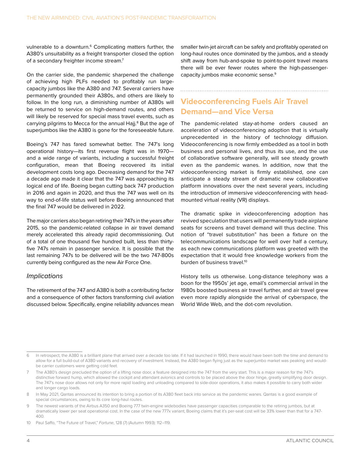vulnerable to a downturn.<sup>6</sup> Complicating matters further, the A380's unsuitability as a freight transporter closed the option of a secondary freighter income stream.7

On the carrier side, the pandemic sharpened the challenge of achieving high PLFs needed to profitably run largecapacity jumbos like the A380 and 747. Several carriers have permanently grounded their A380s, and others are likely to follow. In the long run, a diminishing number of A380s will be returned to service on high-demand routes, and others will likely be reserved for special mass travel events, such as carrying pilgrims to Mecca for the annual Hajj.<sup>8</sup> But the age of superjumbos like the A380 is gone for the foreseeable future.

Boeing's 747 has fared somewhat better. The 747's long operational history—its first revenue flight was in 1970 and a wide range of variants, including a successful freight configuration, mean that Boeing recovered its initial development costs long ago. Decreasing demand for the 747 a decade ago made it clear that the 747 was approaching its logical end of life. Boeing began cutting back 747 production in 2016 and again in 2020, and thus the 747 was well on its way to end-of-life status well before Boeing announced that the final 747 would be delivered in 2022.

The major carriers also began retiring their 747s in the years after 2015, so the pandemic-related collapse in air travel demand merely accelerated this already rapid decommissioning. Out of a total of one thousand five hundred built, less than thirtyfive 747s remain in passenger service. It is possible that the last remaining 747s to be delivered will be the two 747-800s currently being configured as the new Air Force One.

#### *Implications*

The retirement of the 747 and A380 is both a contributing factor and a consequence of other factors transforming civil aviation discussed below. Specifically, engine reliability advances mean

smaller twin-jet aircraft can be safely and profitably operated on long-haul routes once dominated by the jumbos, and a steady shift away from hub-and-spoke to point-to-point travel means there will be ever fewer routes where the high-passengercapacity jumbos make economic sense.9

#### **Videoconferencing Fuels Air Travel Demand—and Vice Versa**

The pandemic-related stay-at-home orders caused an acceleration of videoconferencing adoption that is virtually unprecedented in the history of technology diffusion. Videoconferencing is now firmly embedded as a tool in both business and personal lives, and thus its use, and the use of collaborative software generally, will see steady growth even as the pandemic wanes. In addition, now that the videoconferencing market is firmly established, one can anticipate a steady stream of dramatic new collaborative platform innovations over the next several years, including the introduction of immersive videoconferencing with headmounted virtual reality (VR) displays.

The dramatic spike in videoconferencing adoption has revived speculation that users will permanently trade airplane seats for screens and travel demand will thus decline. This notion of "travel substitution" has been a fixture on the telecommunications landscape for well over half a century, as each new communications platform was greeted with the expectation that it would free knowledge workers from the burden of business travel.<sup>10</sup>

History tells us otherwise. Long-distance telephony was a boon for the 1950s' jet age, email's commercial arrival in the 1980s boosted business air travel further, and air travel grew even more rapidly alongside the arrival of cyberspace, the World Wide Web, and the dot-com revolution.

<sup>6</sup> In retrospect, the A380 is a brilliant plane that arrived over a decade too late. If it had launched in 1990, there would have been both the time and demand to allow for a full build-out of A380 variants and recovery of investment. Instead, the A380 began flying just as the superjumbo market was peaking and wouldbe carrier customers were getting cold feet.

<sup>7</sup> The A380's design precluded the option of a lifting nose door, a feature designed into the 747 from the very start. This is a major reason for the 747's distinctive forward hump, which allowed the cockpit and attendant avionics and controls to be placed above the door hinge, greatly simplifying door design. The 747's nose door allows not only for more rapid loading and unloading compared to side-door operations, it also makes it possible to carry both wider and longer cargo loads.

<sup>8</sup> In May 2021, Qantas announced its intention to bring a portion of its A380 fleet back into service as the pandemic wanes. Qantas is a good example of special circumstances, owing to its core long-haul routes.

<sup>9</sup> The newest variants of the Airbus A350 and Boeing 777 twin-engine widebodies have passenger capacities comparable to the retiring jumbos, but at dramatically lower per seat operational cost. In the case of the new 777x variant, Boeing claims that it's per-seat cost will be 33% lower than that for a 747- 400.

<sup>10</sup> Paul Saffo, "The Future of Travel," *Fortune*, 128 (7) (Autumn 1993): 112–119.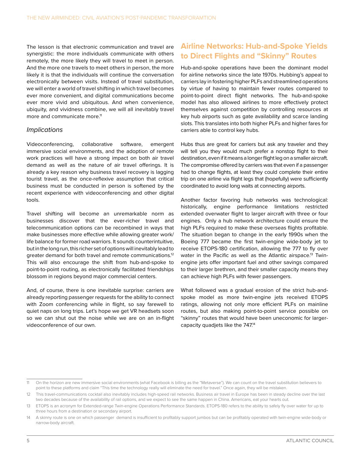The lesson is that electronic communication and travel are synergistic: the more individuals communicate with others remotely, the more likely they will travel to meet in person. And the more one travels to meet others in person, the more likely it is that the individuals will continue the conversation electronically between visits. Instead of travel substitution, we will enter a world of travel shifting in which travel becomes ever more convenient, and digital communications become ever more vivid and ubiquitous. And when convenience, ubiquity, and vividness combine, we will all inevitably travel more and communicate more.<sup>11</sup>

#### *Implications*

Videoconferencing, collaborative software, emergent immersive social environments, and the adoption of remote work practices will have a strong impact on both air travel demand as well as the nature of air travel offerings. It is already a key reason why business travel recovery is lagging tourist travel, as the once-reflexive assumption that critical business must be conducted in person is softened by the recent experience with videoconferencing and other digital tools.

Travel shifting will become an unremarkable norm as businesses discover that the ever-richer travel and telecommunication options can be recombined in ways that make businesses more effective while allowing greater work/ life balance for former road warriors. It sounds counterintuitive, but in the long run, this richer set of options will inevitably lead to greater demand for both travel and remote communications.12 This will also encourage the shift from hub-and-spoke to point-to-point routing, as electronically facilitated friendships blossom in regions beyond major commercial centers.

And, of course, there is one inevitable surprise: carriers are already reporting passenger requests for the ability to connect with Zoom conferencing while in flight, so say farewell to quiet naps on long trips. Let's hope we get VR headsets soon so we can shut out the noise while we are on an in-flight videoconference of our own.

#### **Airline Networks: Hub-and-Spoke Yields to Direct Flights and "Skinny" Routes**

Hub-and-spoke operations have been the dominant model for airline networks since the late 1970s. Hubbing's appeal to carriers lay in fostering higher PLFs and streamlined operations by virtue of having to maintain fewer routes compared to point-to-point direct flight networks. The hub-and-spoke model has also allowed airlines to more effectively protect themselves against competition by controlling resources at key hub airports such as gate availability and scarce landing slots. This translates into both higher PLFs and higher fares for carriers able to control key hubs.

Hubs thus are great for carriers but ask any traveler and they will tell you they would much prefer a nonstop flight to their destination, even if it means a longer flight leg on a smaller aircraft. The compromise offered by carriers was that even if a passenger had to change flights, at least they could complete their entire trip on one airline via flight legs that (hopefully) were sufficiently coordinated to avoid long waits at connecting airports.

Another factor favoring hub networks was technological: historically, engine performance limitations restricted extended overwater flight to larger aircraft with three or four engines. Only a hub network architecture could ensure the high PLFs required to make these overseas flights profitable. The situation began to change in the early 1990s when the Boeing 777 became the first twin-engine wide-body jet to receive ETOPS-180 certification, allowing the 777 to fly over water in the Pacific as well as the Atlantic airspace.<sup>13</sup> Twinengine jets offer important fuel and other savings compared to their larger brethren, and their smaller capacity means they can achieve high PLFs with fewer passengers.

What followed was a gradual erosion of the strict hub-andspoke model as more twin-engine jets received ETOPS ratings, allowing not only more efficient PLFs on mainline routes, but also making point-to-point service possible on "skinny" routes that would have been uneconomic for largercapacity quadjets like the 747.14

<sup>11</sup> On the horizon are new immersive social environments (what Facebook is billing as the "Metaverse"). We can count on the travel substitution believers to point to these platforms and claim "This time the technology really will eliminate the need for travel." Once again, they will be mistaken.

<sup>12</sup> This travel-communications cocktail also inevitably includes high-speed rail networks. Business air travel in Europe has been in steady decline over the last two decades because of the availability of rail options, and we expect to see the same happen in China. Americans, eat your hearts out.

<sup>13</sup> ETOPS is an acronym for Extended-range Twin-engine Operations Performance Standards. ETOPS-180 refers to the ability to safely fly over water for up to three hours from a destination or secondary airport.

<sup>14</sup> A skinny route is one on which passenger demand is insufficient to profitably support jumbos but can be profitably operated with twin-engine wide-body or narrow-body aircraft.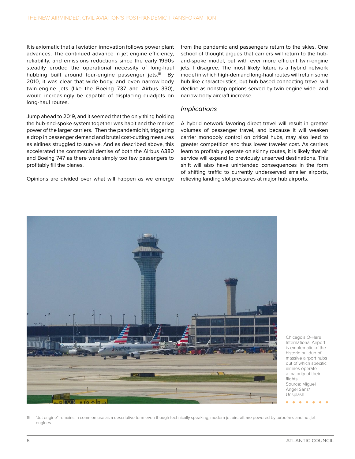It is axiomatic that all aviation innovation follows power plant advances. The continued advance in jet engine efficiency, reliability, and emissions reductions since the early 1990s steadily eroded the operational necessity of long-haul hubbing built around four-engine passenger jets.<sup>15</sup> By 2010, it was clear that wide-body, and even narrow-body twin-engine jets (like the Boeing 737 and Airbus 330), would increasingly be capable of displacing quadjets on long-haul routes.

Jump ahead to 2019, and it seemed that the only thing holding the hub-and-spoke system together was habit and the market power of the larger carriers. Then the pandemic hit, triggering a drop in passenger demand and brutal cost-cutting measures as airlines struggled to survive. And as described above, this accelerated the commercial demise of both the Airbus A380 and Boeing 747 as there were simply too few passengers to profitably fill the planes.

Opinions are divided over what will happen as we emerge

from the pandemic and passengers return to the skies. One school of thought argues that carriers will return to the huband-spoke model, but with ever more efficient twin-engine jets. I disagree. The most likely future is a hybrid network model in which high-demand long-haul routes will retain some hub-like characteristics, but hub-based connecting travel will decline as nonstop options served by twin-engine wide- and narrow-body aircraft increase.

#### *Implications*

A hybrid network favoring direct travel will result in greater volumes of passenger travel, and because it will weaken carrier monopoly control on critical hubs, may also lead to greater competition and thus lower traveler cost. As carriers learn to profitably operate on skinny routes, it is likely that air service will expand to previously unserved destinations. This shift will also have unintended consequences in the form of shifting traffic to currently underserved smaller airports, relieving landing slot pressures at major hub airports.



Chicago's O-Hare International Airport is emblematic of the historic buildup of massive airport hubs out of which specific airlines operate a majority of their flights. Source: Miguel Ángel Sanz/ Unsplash

<sup>15</sup> "Jet engine" remains in common use as a descriptive term even though technically speaking, modern jet aircraft are powered by turbofans and not jet engines.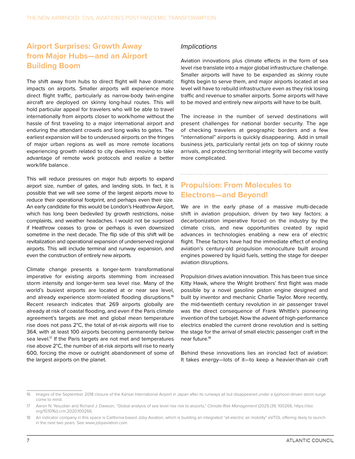#### **Airport Surprises: Growth Away from Major Hubs—and an Airport Building Boom**

The shift away from hubs to direct flight will have dramatic impacts on airports. Smaller airports will experience more direct flight traffic, particularly as narrow-body twin-engine aircraft are deployed on skinny long-haul routes. This will hold particular appeal for travelers who will be able to travel internationally from airports closer to work/home without the hassle of first traveling to a major international airport and enduring the attendant crowds and long walks to gates. The earliest expansion will be to underused airports on the fringes of major urban regions as well as more remote locations experiencing growth related to city dwellers moving to take advantage of remote work protocols and realize a better work/life balance.

This will reduce pressures on major hub airports to expand airport size, number of gates, and landing slots. In fact, it is possible that we will see some of the largest airports move to reduce their operational footprint, and perhaps even their size. An early candidate for this would be London's Heathrow Airport, which has long been bedeviled by growth restrictions, noise complaints, and weather headaches. I would not be surprised if Heathrow ceases to grow or perhaps is even downsized sometime in the next decade. The flip side of this shift will be revitalization and operational expansion of underserved regional airports. This will include terminal and runway expansion, and even the construction of entirely new airports.

Climate change presents a longer-term transformational imperative for existing airports stemming from increased storm intensity and longer-term sea level rise. Many of the world's busiest airports are located at or near sea level, and already experience storm-related flooding disruptions.<sup>16</sup> Recent research indicates that 269 airports globally are already at risk of coastal flooding, and even if the Paris climate agreement's targets are met and global mean temperature rise does not pass 2°C, the total of at-risk airports will rise to 364, with at least 100 airports becoming permanently below sea level.<sup>17</sup> If the Paris targets are not met and temperatures rise above 2°C, the number of at-risk airports will rise to nearly 600, forcing the move or outright abandonment of some of the largest airports on the planet.

#### *Implications*

Aviation innovations plus climate effects in the form of sea level rise translate into a major global infrastructure challenge. Smaller airports will have to be expanded as skinny route flights begin to serve them, and major airports located at sea level will have to rebuild infrastructure even as they risk losing traffic and revenue to smaller airports. Some airports will have to be moved and entirely new airports will have to be built.

The increase in the number of served destinations will present challenges for national border security. The age of checking travelers at geographic borders and a few "international" airports is quickly disappearing. Add in small business jets, particularly rental jets on top of skinny route arrivals, and protecting territorial integrity will become vastly more complicated.

#### **Propulsion: From Molecules to Electrons—and Beyond!**

We are in the early phase of a massive multi-decade shift in aviation propulsion, driven by two key factors: a decarbonization imperative forced on the industry by the climate crisis, and new opportunities created by rapid advances in technologies enabling a new era of electric flight. These factors have had the immediate effect of ending aviation's century-old propulsion monoculture built around engines powered by liquid fuels, setting the stage for deeper aviation disruptions.

Propulsion drives aviation innovation. This has been true since Kitty Hawk, where the Wright brothers' first flight was made possible by a novel gasoline piston engine designed and built by inventor and mechanic Charlie Taylor. More recently, the mid-twentieth century revolution in air passenger travel was the direct consequence of Frank Whittle's pioneering invention of the turbojet. Now the advent of high-performance electrics enabled the current drone revolution and is setting the stage for the arrival of small electric passenger craft in the near future.18

Behind these innovations lies an ironclad fact of aviation: It takes energy—lots of it—to keep a heavier-than-air craft

<sup>16</sup> Images of the September 2018 closure of the Kansai International Airport in Japan after its runways all but disappeared under a typhoon-driven storm surge come to mind.

<sup>17</sup> Aaron N. Yesudian and Richard J. Dawson, "Global analysis of sea level rise risk to airports," *Climate Risk Management* (2021) (31): 100266, [https://doi.](https://doi.org/10.1016/j.crm.2020.100266) [org/10.1016/j.crm.2020.100266.](https://doi.org/10.1016/j.crm.2020.100266)

<sup>18</sup> An indicator company in this space is California-based Joby Aviation, which is building an integrated "all-electric air mobility" eVTOL offering likely to launch in the next two years. See www.jobyaviation.com.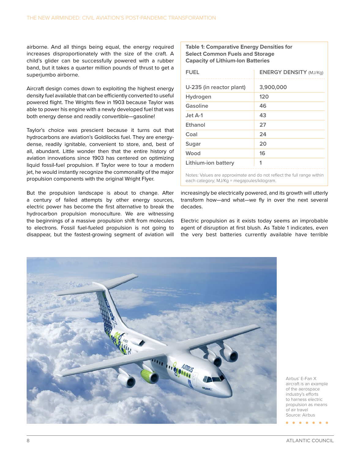airborne. And all things being equal, the energy required increases disproportionately with the size of the craft. A child's glider can be successfully powered with a rubber band, but it takes a quarter million pounds of thrust to get a superjumbo airborne.

Aircraft design comes down to exploiting the highest energy density fuel available that can be efficiently converted to useful powered flight. The Wrights flew in 1903 because Taylor was able to power his engine with a newly developed fuel that was both energy dense and readily convertible—gasoline!

Taylor's choice was prescient because it turns out that hydrocarbons are aviation's Goldilocks fuel. They are energydense, readily ignitable, convenient to store, and, best of all, abundant. Little wonder then that the entire history of aviation innovations since 1903 has centered on optimizing liquid fossil-fuel propulsion. If Taylor were to tour a modern jet, he would instantly recognize the commonality of the major propulsion components with the original Wright Flyer.

But the propulsion landscape is about to change. After a century of failed attempts by other energy sources, electric power has become the first alternative to break the hydrocarbon propulsion monoculture. We are witnessing the beginnings of a massive propulsion shift from molecules to electrons. Fossil fuel-fueled propulsion is not going to disappear, but the fastest-growing segment of aviation will **Table 1: Comparative Energy Densities for Select Common Fuels and Storage Capacity of Lithium-Ion Batteries**

| <b>FUEL</b>                                 | <b>ENERGY DENSITY (MJ/Kg)</b>                                          |
|---------------------------------------------|------------------------------------------------------------------------|
| U-235 (in reactor plant)                    | 3,900,000                                                              |
| Hydrogen                                    | 120                                                                    |
| Gasoline                                    | 46                                                                     |
| Jet A-1                                     | 43                                                                     |
| Ethanol                                     | 27                                                                     |
| Coal                                        | 24                                                                     |
| Sugar                                       | 20                                                                     |
| Wood                                        | 16                                                                     |
| Lithium-ion battery                         | 1                                                                      |
| each category; MJ/Kg = megajoules/kilogram. | Notes: Values are approximate and do not reflect the full range within |

increasingly be electrically powered, and its growth will utterly transform how—and what—we fly in over the next several decades.

Electric propulsion as it exists today seems an improbable agent of disruption at first blush. As Table 1 indicates, even the very best batteries currently available have terrible



Airbus' E-Fan X aircraft is an example of the aerospace industry's efforts to harness electric propulsion as means of air travel Source: Airbus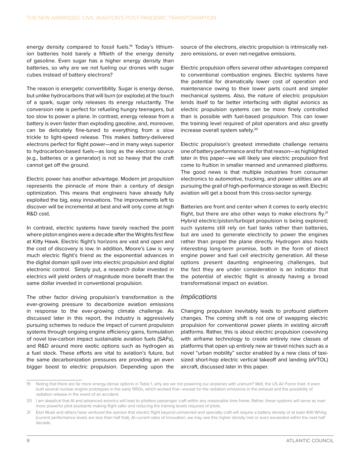energy density compared to fossil fuels.<sup>19</sup> Today's lithiumion batteries hold barely a fiftieth of the energy density of gasoline. Even sugar has a higher energy density than batteries, so why are we not fueling our drones with sugar cubes instead of battery electrons?

The reason is energetic convertibility. Sugar is energy dense, but unlike hydrocarbons that will burn (or explode) at the touch of a spark, sugar only releases its energy reluctantly. The conversion rate is perfect for refueling hungry teenagers, but too slow to power a plane. In contrast, energy release from a battery is even faster than exploding gasoline, and, moreover, can be delicately fine-tuned to everything from a slow trickle to light-speed release. This makes battery-delivered electrons perfect for flight power—and in many ways superior to hydrocarbon-based fuels—as long as the electron source (e.g., batteries or a generator) is not so heavy that the craft cannot get off the ground.

Electric power has another advantage. Modern jet propulsion represents the pinnacle of more than a century of design optimization. This means that engineers have already fully exploited the big, easy innovations. The improvements left to discover will be incremental at best and will only come at high R&D cost.

In contrast, electric systems have barely reached the point where piston engines were a decade after the Wrights first flew at Kitty Hawk. Electric flight's horizons are vast and open and the cost of discovery is low. In addition, Moore's Law is very much electric flight's friend as the exponential advances in the digital domain spill over into electric propulsion and digital electronic control. Simply put, a research dollar invested in electrics will yield orders of magnitude more benefit than the same dollar invested in conventional propulsion.

The other factor driving propulsion's transformation is the ever-growing pressure to decarbonize aviation emissions in response to the ever-growing climate challenge. As discussed later in this report, the industry is aggressively pursuing schemes to reduce the impact of current propulsion systems through ongoing engine efficiency gains, formulation of novel low-carbon impact sustainable aviation fuels (SAFs), and R&D around more exotic options such as hydrogen as a fuel stock. These efforts are vital to aviation's future, but the same decarbonization pressures are providing an even bigger boost to electric propulsion. Depending upon the

source of the electrons, electric propulsion is intrinsically netzero emissions, or even net-negative emissions.

Electric propulsion offers several other advantages compared to conventional combustion engines. Electric systems have the potential for dramatically lower cost of operation and maintenance owing to their lower parts count and simpler mechanical systems. Also, the nature of electric propulsion lends itself to far better interfacing with digital avionics as electric propulsion systems can be more finely controlled than is possible with fuel-based propulsion. This can lower the training level required of pilot operators and also greatly increase overall system safety.20

Electric propulsion's greatest immediate challenge remains one of battery performance and for that reason—as highlighted later in this paper—we will likely see electric propulsion first come to fruition in smaller manned and unmanned platforms. The good news is that multiple industries from consumer electronics to automotive, trucking, and power utilities are all pursuing the grail of high-performance storage as well. Electric aviation will get a boost from this cross-sector synergy.

Batteries are front and center when it comes to early electric flight, but there are also other ways to make electrons fly.<sup>21</sup> Hybrid electric/piston/turbojet propulsion is being explored; such systems still rely on fuel tanks rather than batteries, but are used to generate electricity to power the engines rather than propel the plane directly. Hydrogen also holds interesting long-term promise, both in the form of direct engine power and fuel cell electricity generation. All these options present daunting engineering challenges, but the fact they are under consideration is an indicator that the potential of electric flight is already having a broad transformational impact on aviation.

#### *Implications*

Changing propulsion inevitably leads to profound platform changes. The coming shift is not one of swapping electric propulsion for conventional power plants in existing aircraft platforms. Rather, this is about electric propulsion coevolving with airframe technology to create entirely new classes of platforms that open up entirely new air travel niches such as a novel "urban mobility" sector enabled by a new class of taxisized short-hop electric vertical takeoff and landing (eVTOL) aircraft, discussed later in this paper.

<sup>19</sup> Noting that there are far more energy-dense options in Table 1, why are we not powering our airplanes with uranium? Well, the US Air Force tried. It even built several nuclear engine prototypes in the early 1950s, which worked fine—except for the radiation emissions in the exhaust and the possibility of radiation release in the event of an accident.

<sup>20</sup> I am skeptical that AI and advanced avionics will lead to pilotless passenger craft within any reasonable time frame. Rather, these systems will serve as ever more powerful pilot assistants making flight safer and reducing the training levels required of pilots.

<sup>21</sup> Elon Musk and others have ventured the opinion that electric flight beyond unmanned and specialty craft will require a battery density of at least 400 Wh/kg (current performance levels are less than half that). At current rates of innovation, we may see this higher density met or even exceeded within the next half decade.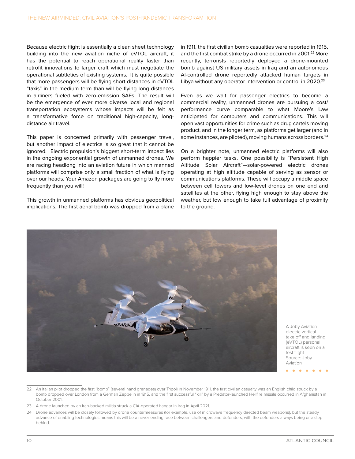Because electric flight is essentially a clean sheet technology building into the new aviation niche of eVTOL aircraft, it has the potential to reach operational reality faster than retrofit innovations to larger craft which must negotiate the operational subtleties of existing systems. It is quite possible that more passengers will be flying short distances in eVTOL "taxis" in the medium term than will be flying long distances in airliners fueled with zero-emission SAFs. The result will be the emergence of ever more diverse local and regional transportation ecosystems whose impacts will be felt as a transformative force on traditional high-capacity, longdistance air travel.

This paper is concerned primarily with passenger travel, but another impact of electrics is so great that it cannot be ignored. Electric propulsion's biggest short-term impact lies in the ongoing exponential growth of unmanned drones. We are racing headlong into an aviation future in which manned platforms will comprise only a small fraction of what is flying over our heads. Your Amazon packages are going to fly more frequently than you will!

This growth in unmanned platforms has obvious geopolitical implications. The first aerial bomb was dropped from a plane

in 1911, the first civilian bomb casualties were reported in 1915, and the first combat strike by a drone occurred in 2001.<sup>22</sup> More recently, terrorists reportedly deployed a drone-mounted bomb against US military assets in Iraq and an autonomous AI-controlled drone reportedly attacked human targets in Libya without any operator intervention or control in 2020.<sup>23</sup>

Even as we wait for passenger electrics to become a commercial reality, unmanned drones are pursuing a cost/ performance curve comparable to what Moore's Law anticipated for computers and communications. This will open vast opportunities for crime such as drug cartels moving product, and in the longer term, as platforms get larger (and in some instances, are piloted), moving humans across borders.<sup>24</sup>

On a brighter note, unmanned electric platforms will also perform happier tasks. One possibility is "Persistent High Altitude Solar Aircraft"—solar-powered electric drones operating at high altitude capable of serving as sensor or communications platforms. These will occupy a middle space between cell towers and low-level drones on one end and satellites at the other, flying high enough to stay above the weather, but low enough to take full advantage of proximity to the ground.



A Joby Aviation electric vertical take off and landing (eVTOL) personal aircraft is seen on a test flight Source: Joby Aviation

<sup>22</sup> An Italian pilot dropped the first "bomb" (several hand grenades) over Tripoli in November 1911, the first civilian casualty was an English child struck by a bomb dropped over London from a German Zeppelin in 1915, and the first successful "kill" by a Predator-launched Hellfire missile occurred in Afghanistan in October 2001.

<sup>23</sup> A drone launched by an Iran-backed militia struck a CIA-operated hangar in Iraq in April 2021.

<sup>24</sup> Drone advances will be closely followed by drone countermeasures (for example, use of microwave frequency directed beam weapons), but the steady advance of enabling technologies means this will be a never-ending race between challengers and defenders, with the defenders always being one step behind.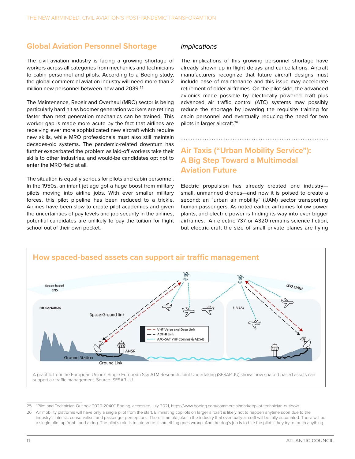#### **Global Aviation Personnel Shortage**

The civil aviation industry is facing a growing shortage of workers across all categories from mechanics and technicians to cabin personnel and pilots. According to a Boeing study, the global commercial aviation industry will need more than 2 million new personnel between now and 2039.25

The Maintenance, Repair and Overhaul (MRO) sector is being particularly hard hit as boomer generation workers are retiring faster than next generation mechanics can be trained. This worker gap is made more acute by the fact that airlines are receiving ever more sophisticated new aircraft which require new skills, while MRO professionals must also still maintain decades-old systems. The pandemic-related downturn has further exacerbated the problem as laid-off workers take their skills to other industries, and would-be candidates opt not to enter the MRO field at all.

The situation is equally serious for pilots and cabin personnel. In the 1950s, an infant jet age got a huge boost from military pilots moving into airline jobs. With ever smaller military forces, this pilot pipeline has been reduced to a trickle. Airlines have been slow to create pilot academies and given the uncertainties of pay levels and job security in the airlines, potential candidates are unlikely to pay the tuition for flight school out of their own pocket.

#### *Implications*

The implications of this growing personnel shortage have already shown up in flight delays and cancellations. Aircraft manufacturers recognize that future aircraft designs must include ease of maintenance and this issue may accelerate retirement of older airframes. On the pilot side, the advanced avionics made possible by electrically powered craft plus advanced air traffic control (ATC) systems may possibly reduce the shortage by lowering the requisite training for cabin personnel and eventually reducing the need for two pilots in larger aircraft.26

#### **Air Taxis ("Urban Mobility Service"): A Big Step Toward a Multimodal Aviation Future**

Electric propulsion has already created one industry small, unmanned drones—and now it is poised to create a second: an "urban air mobility" (UAM) sector transporting human passengers. As noted earlier, airframes follow power plants, and electric power is finding its way into ever bigger airframes. An electric 737 or A320 remains science fiction, but electric craft the size of small private planes are flying



25 "Pilot and Technician Outlook 2020-2040," Boeing, accessed July 2021,<https://www.boeing.com/commercial/market/pilot-technician-outlook/>.

26 Air mobility platforms will have only a single pilot from the start. Eliminating copilots on larger aircraft is likely not to happen anytime soon due to the industry's intrinsic conservatism and passenger perceptions. There is an old joke in the industry that eventually aircraft will be fully automated. There will be a single pilot up front—and a dog. The pilot's role is to intervene if something goes wrong. And the dog's job is to bite the pilot if they try to touch anything.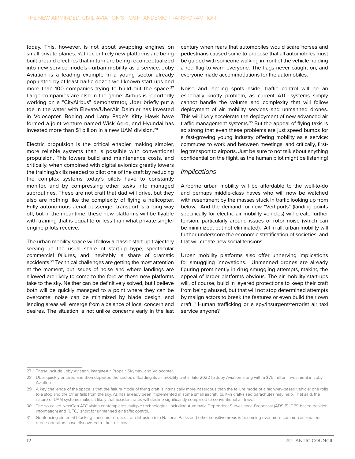today. This, however, is not about swapping engines on small private planes. Rather, entirely new platforms are being built around electrics that in turn are being reconceptualized into new service models—urban mobility as a service. Joby Aviation is a leading example in a young sector already populated by at least half a dozen well-known start-ups and more than 100 companies trying to build out the space.<sup>27</sup> Large companies are also in the game: Airbus is reportedly working on a "CityAirbus" demonstrator, Uber briefly put a toe in the water with Elevate/UberAir, Daimler has invested in Volocopter, Boeing and Larry Page's Kitty Hawk have formed a joint venture named Wisk Aero, and Hyundai has invested more than \$1 billion in a new UAM division.28

Electric propulsion is the critical enabler, making simpler, more reliable systems than is possible with conventional propulsion. This lowers build and maintenance costs, and critically, when combined with digital avionics greatly lowers the training/skills needed to pilot one of the craft by reducing the complex systems today's pilots have to constantly monitor, and by compressing other tasks into managed subroutines. These are not craft that dad will drive, but they also are nothing like the complexity of flying a helicopter. Fully autonomous aerial passenger transport is a long way off, but in the meantime, these new platforms will be flyable with training that is equal to or less than what private singleengine pilots receive.

The urban mobility space will follow a classic start-up trajectory serving up the usual share of start-up hype, spectacular commercial failures, and inevitably, a share of dramatic accidents.29 Technical challenges are getting the most attention at the moment, but issues of noise and where landings are allowed are likely to come to the fore as these new platforms take to the sky. Neither can be definitively solved, but I believe both will be quickly managed to a point where they can be overcome: noise can be minimized by blade design, and landing areas will emerge from a balance of local concern and desires. The situation is not unlike concerns early in the last century when fears that automobiles would scare horses and pedestrians caused some to propose that all automobiles must be guided with someone walking in front of the vehicle holding a red flag to warn everyone. The flags never caught on, and everyone made accommodations for the automobiles.

Noise and landing spots aside, traffic control will be an especially knotty problem, as current ATC systems simply cannot handle the volume and complexity that will follow deployment of air mobility services and unmanned drones. This will likely accelerate the deployment of new advanced air traffic management systems.<sup>30</sup> But the appeal of flying taxis is so strong that even these problems are just speed bumps for a fast-growing young industry offering mobility as a service: commutes to work and between meetings, and critically, firstleg transport to airports. Just be sure to not talk about anything confidential on the flight, as the human pilot might be listening!

#### *Implications*

Airborne urban mobility will be affordable to the well-to-do and perhaps middle-class haves who will now be watched with resentment by the masses stuck in traffic looking up from below. And the demand for new "Vertiports" (landing points specifically for electric air mobility vehicles) will create further tension, particularly around issues of rotor noise (which can be minimized, but not eliminated). All in all, urban mobility will further underscore the economic stratification of societies, and that will create new social tensions.

Urban mobility platforms also offer unnerving implications for smuggling innovations. Unmanned drones are already figuring prominently in drug smuggling attempts, making the appeal of larger platforms obvious. The air mobility start-ups will, of course, build in layered protections to keep their craft from being abused, but that will not stop determined attempts by malign actors to break the features or even build their own craft.31 Human trafficking or a spy/insurgent/terrorist air taxi service anyone?

<sup>27</sup> These include Joby Aviation, ImagineAir, Propair, Skymax, and Volocopter.

<sup>28</sup> Uber quickly entered and then departed the sector, offloading its air mobility unit in late 2020 to Joby Aviation along with a \$75 million investment in Joby Aviation.

<sup>29</sup> A key challenge of the space is that the failure mode of flying craft is intrinsically more hazardous than the failure mode of a highway-based vehicle: one rolls to a stop and the other falls from the sky. As has already been implemented in some small aircraft, built-in craft-sized parachutes may help. That said, the nature of UAM systems makes it likely that accident rates will decline significantly compared to conventional air travel.

<sup>30</sup> The so-called NextGen ATC vision contemplates multiple technologies, including Automatic Dependent Surveillance-Broadcast (ADS-B) (GPS-based position information) and "UTC," short for unmanned air traffic control.

<sup>31</sup> Geofencing aimed at blocking consumer drones from intrusion into National Parks and other sensitive areas is becoming ever more common as amateur drone operators have discovered to their dismay.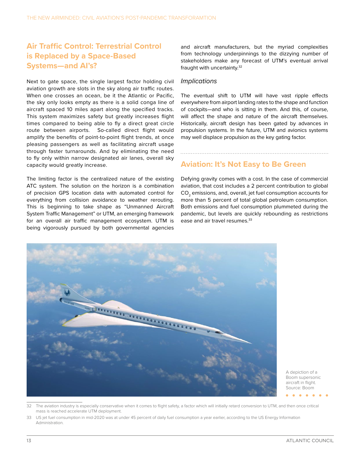#### **Air Traffic Control: Terrestrial Control is Replaced by a Space-Based Systems—and AI's?**

Next to gate space, the single largest factor holding civil aviation growth are slots in the sky along air traffic routes. When one crosses an ocean, be it the Atlantic or Pacific, the sky only looks empty as there is a solid conga line of aircraft spaced 10 miles apart along the specified tracks. This system maximizes safety but greatly increases flight times compared to being able to fly a direct great circle route between airports. So-called direct flight would amplify the benefits of point-to-point flight trends, at once pleasing passengers as well as facilitating aircraft usage through faster turnarounds. And by eliminating the need to fly only within narrow designated air lanes, overall sky capacity would greatly increase.

The limiting factor is the centralized nature of the existing ATC system. The solution on the horizon is a combination of precision GPS location data with automated control for everything from collision avoidance to weather rerouting. This is beginning to take shape as "Unmanned Aircraft System Traffic Management" or UTM, an emerging framework for an overall air traffic management ecosystem. UTM is being vigorously pursued by both governmental agencies

and aircraft manufacturers, but the myriad complexities from technology underpinnings to the dizzying number of stakeholders make any forecast of UTM's eventual arrival fraught with uncertainty.32

#### *Implications*

The eventual shift to UTM will have vast ripple effects everywhere from airport landing rates to the shape and function of cockpits—and who is sitting in them. And this, of course, will affect the shape and nature of the aircraft themselves. Historically, aircraft design has been gated by advances in propulsion systems. In the future, UTM and avionics systems may well displace propulsion as the key gating factor.

#### **Aviation: It's Not Easy to Be Green**

Defying gravity comes with a cost. In the case of commercial aviation, that cost includes a 2 percent contribution to global CO<sub>2</sub> emissions, and, overall, jet fuel consumption accounts for more than 5 percent of total global petroleum consumption. Both emissions and fuel consumption plummeted during the pandemic, but levels are quickly rebounding as restrictions ease and air travel resumes.<sup>33</sup>



A depiction of a Boom supersonic aircraft in flight. Source: Boom

- The aviation industry is especially conservative when it comes to flight safety, a factor which will initially retard conversion to UTM, and then once critical mass is reached accelerate UTM deployment.
- 33 US jet fuel consumption in mid-2020 was at under 45 percent of daily fuel consumption a year earlier, according to the US Energy Information Administration.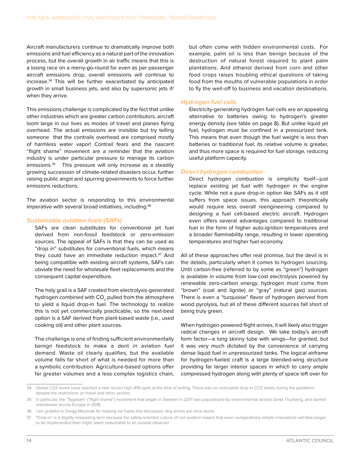Aircraft manufacturers continue to dramatically improve both emissions and fuel efficiency as a natural part of the innovation process, but the overall growth in air traffic means that this is a losing race on a merry-go-round for even as per passenger aircraft emissions drop, overall emissions will continue to increase.34 This will be further exacerbated by anticipated growth in small business jets, and also by supersonic jets if/ when they arrive.

This emissions challenge is complicated by the fact that unlike other industries which are greater carbon contributors, aircraft loom large in our lives as modes of travel and planes flying overhead. The actual emissions are invisible but try telling someone that the contrails overhead are comprised mostly of harmless water vapor! Contrail fears and the nascent "flight shame" movement are a reminder that the aviation industry is under particular pressure to manage its carbon emissions.<sup>35</sup> This pressure will only increase as a steadily growing succession of climate-related disasters occur, further raising public angst and spurring governments to force further emissions reductions.

The aviation sector is responding to this environmental imperative with several broad initiatives, including:<sup>36</sup>

#### *Sustainable aviation fuels (SAFs)*

SAFs are clean substitutes for conventional jet fuel derived from non-fossil feedstock or zero-emission sources. The appeal of SAFs is that they can be used as "drop in" substitutes for conventional fuels, which means they could have an immediate reduction impact.<sup>37</sup> And being compatible with existing aircraft systems, SAFs can obviate the need for wholesale fleet replacements and the consequent capital expenditure.

The holy grail is a SAF created from electrolysis-generated hydrogen combined with CO<sub>2</sub> pulled from the atmosphere to yield a liquid drop-in fuel. The technology to realize this is not yet commercially practicable, so the next-best option is a SAF derived from plant-based waste (i.e., used cooking oil) and other plant sources.

The challenge is one of finding sufficient environmentally benign feedstock to make a dent in aviation fuel demand. Waste oil clearly qualifies, but the available volume falls far short of what is needed for more than a symbolic contribution. Agriculture-based options offer far greater volumes and a less complex logistics chain,

but often come with hidden environmental costs. For example, palm oil is less than benign because of the destruction of natural forest required to plant palm plantations. And ethanol derived from corn and other food crops raises troubling ethical questions of taking food from the mouths of vulnerable populations in order to fly the well-off to business and vacation destinations.

#### *Hydrogen fuel cells*

Electricity-generating hydrogen fuel cells are an appealing alternative to batteries owing to hydrogen's greater energy density (see table on page 8). But unlike liquid jet fuel, hydrogen must be confined in a pressurized tank. This means that even though the fuel weight is less than batteries or traditional fuel, its relative volume is greater, and thus more space is required for fuel storage, reducing useful platform capacity.

#### *Direct hydrogen combustion*

Direct hydrogen combustion is simplicity itself—just replace existing jet fuel with hydrogen in the engine cycle. While not a pure drop-in option like SAFs as it still suffers from space issues, this approach theoretically would require less overall reengineering compared to designing a fuel cell-based electric aircraft. Hydrogen even offers several advantages compared to traditional fuel in the form of higher auto-ignition temperatures and a broader flammability range, resulting in lower operating temperatures and higher fuel economy.

All of these approaches offer real promise, but the devil is in the details, particularly when it comes to hydrogen sourcing. Until carbon-free (referred to by some as "green") hydrogen is available in volume from low-cost electrolysis powered by renewable zero-carbon energy, hydrogen must come from "brown" (coal and lignite) or "gray" (natural gas) sources. There is even a "turquoise" flavor of hydrogen derived from wood pyrolysis, but all of these different sources fall short of being truly green.

When hydrogen-powered flight arrives, it will likely also trigger radical changes in aircraft design. We take today's aircraft form factor—a long skinny tube with wings—for granted, but it was very much dictated by the convenience of carrying dense liquid fuel in unpressurized tanks. The logical airframe for hydrogen-fueled craft is a large blended-wing structure providing far larger interior spaces in which to carry ample compressed hydrogen along with plenty of space left over for

<sup>34</sup> Global CO2 levels have reached a new record high (419 ppm) at the time of writing. There was no noticeable drop in CO2 levels during the pandemic despite the restrictions on travel and other sectors.

<sup>35</sup> In particular, the "flygskam" ("flight shame") movement that began in Sweden in 2017 was popularized by environmental activist Greta Thunberg, and started mainstream across Europe in 2018.

<sup>36</sup> I am grateful to Gregg Maryniak for helping me frame this discussion. Any errors are mine alone.

<sup>37 &</sup>quot;Drop-in" is a slightly misleading term because the safety-oriented culture of civil aviation means that even comparatively simple innovations will take longer to be implemented than might seem reasonable to an outside observer.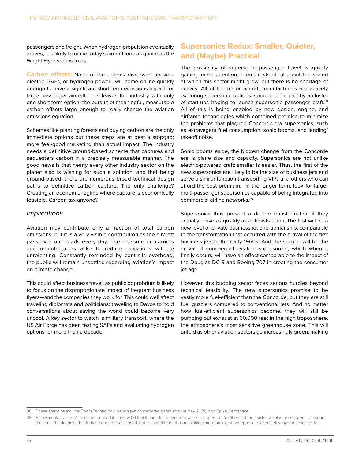passengers and freight. When hydrogen propulsion eventually arrives, it is likely to make today's aircraft look as quaint as the Wright Flyer seems to us.

**Carbon offsets:** None of the options discussed above electric, SAFs, or hydrogen power—will come online quickly enough to have a significant short-term emissions impact for large passenger aircraft. This leaves the industry with only one short-term option: the pursuit of meaningful, measurable carbon offsets large enough to really change the aviation emissions equation.

Schemes like planting forests and buying carbon are the only immediate options but these steps are at best a stopgap; more feel-good marketing than actual impact. The industry needs a definitive ground-based scheme that captures and sequesters carbon in a precisely measurable manner. The good news is that nearly every other industry sector on the planet also is wishing for such a solution, and that being ground-based, there are numerous broad technical design paths to definitive carbon capture. The only challenge? Creating an economic regime where capture is economically feasible. Carbon tax anyone?

#### *Implications*

Aviation may contribute only a fraction of total carbon emissions, but it is a very visible contribution as the aircraft pass over our heads every day. The pressure on carriers and manufacturers alike to reduce emissions will be unrelenting. Constantly reminded by contrails overhead, the public will remain unsettled regarding aviation's impact on climate change.

This could affect business travel, as public opprobrium is likely to focus on the disproportionate impact of frequent business flyers—and the companies they work for. This could well affect traveling diplomats and politicians: traveling to Davos to hold conversations about saving the world could become very uncool. A key sector to watch is military transport, where the US Air Force has been testing SAFs and evaluating hydrogen options for more than a decade.

#### **Supersonics Redux: Smaller, Quieter, and (Maybe) Practical**

The possibility of supersonic passenger travel is quietly gaining more attention. I remain skeptical about the speed at which this sector might grow, but there is no shortage of activity. All of the major aircraft manufacturers are actively exploring supersonic options, spurred on in part by a cluster of start-ups hoping to launch supersonic passenger craft.<sup>38</sup> All of this is being enabled by new design, engine, and airframe technologies which combined promise to minimize the problems that plagued Concorde-era supersonics, such as extravagant fuel consumption, sonic booms, and landing/ takeoff noise.

Sonic booms aside, the biggest change from the Concorde era is plane size and capacity. Supersonics are not unlike electric-powered craft: smaller is easier. Thus, the first of the new supersonics are likely to be the size of business jets and serve a similar function transporting VIPs and others who can afford the cost premium. In the longer term, look for larger multi-passenger supersonics capable of being integrated into commercial airline networks.39

Supersonics thus present a double transformation if they actually arrive as quickly as optimists claim. The first will be a new level of private business jet one-upmanship, comparable to the transformation that occurred with the arrival of the first business jets in the early 1960s. And the second will be the arrival of commercial aviation supersonics, which when it finally occurs, will have an effect comparable to the impact of the Douglas DC-8 and Boeing 707 in creating the consumer jet age.

However, this budding sector faces serious hurdles beyond technical feasibility. The new supersonics promise to be vastly more fuel-efficient than the Concorde, but they are still fuel guzzlers compared to conventional jets. And no matter how fuel-efficient supersonics become, they will still be pumping out exhaust at 60,000 feet in the high troposphere, the atmosphere's most sensitive greenhouse zone. This will unfold as other aviation sectors go increasingly green, making

<sup>38</sup> These start-ups include Boom Technology, Aerion (which declared bankruptcy in May 2021), and Spike Aerospace.

<sup>39</sup> For example, United Airlines announced in June 2021 that it had placed an order with start-up Boom for fifteen of their sixty-five-plus-passenger supersonic airliners. The financial details have not been disclosed, but I suspect that this is most likely more an investment/public relations play than an actual order.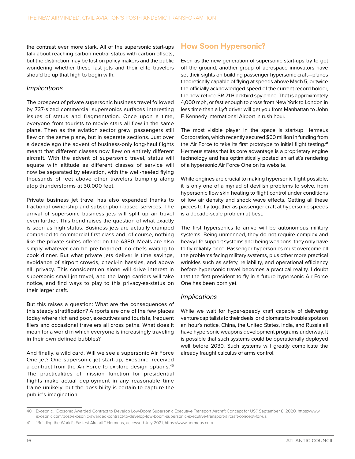<span id="page-20-0"></span>the contrast ever more stark. All of the supersonic start-ups talk about reaching carbon neutral status with carbon offsets, but the distinction may be lost on policy makers and the public wondering whether these fast jets and their elite travelers should be up that high to begin with.

#### *Implications*

The prospect of private supersonic business travel followed by 737-sized commercial supersonics surfaces interesting issues of status and fragmentation. Once upon a time, everyone from tourists to movie stars all flew in the same plane. Then as the aviation sector grew, passengers still flew on the same plane, but in separate sections. Just over a decade ago the advent of business-only long-haul flights meant that different classes now flew on entirely different aircraft. With the advent of supersonic travel, status will equate with altitude as different classes of service will now be separated by elevation, with the well-heeled flying thousands of feet above other travelers bumping along atop thunderstorms at 30,000 feet.

Private business jet travel has also expanded thanks to fractional ownership and subscription-based services. The arrival of supersonic business jets will split up air travel even further. This trend raises the question of what exactly is seen as high status. Business jets are actually cramped compared to commercial first class and, of course, nothing like the private suites offered on the A380. Meals are also simply whatever can be pre-boarded, no chefs waiting to cook dinner. But what private jets deliver is time savings, avoidance of airport crowds, check-in hassles, and above all, privacy. This consideration alone will drive interest in supersonic small jet travel, and the large carriers will take notice, and find ways to play to this privacy-as-status on their larger craft.

But this raises a question: What are the consequences of this steady stratification? Airports are one of the few places today where rich and poor, executives and tourists, frequent fliers and occasional travelers all cross paths. What does it mean for a world in which everyone is increasingly traveling in their own defined bubbles?

And finally, a wild card. Will we see a supersonic Air Force One jet? One supersonic jet start-up, Exosonic, received a contract from the Air Force to explore design options.40 The practicalities of mission function for presidential flights make actual deployment in any reasonable time frame unlikely, but the possibility is certain to capture the public's imagination.

#### **How Soon Hypersonic?**

Even as the new generation of supersonic start-ups try to get off the ground, another group of aerospace innovators have set their sights on building passenger hypersonic craft—planes theoretically capable of flying at speeds above Mach 5, or twice the officially acknowledged speed of the current record holder, the now-retired SR-71 Blackbird spy plane. That is approximately 4,000 mph, or fast enough to cross from New York to London in less time than a Lyft driver will get you from Manhattan to John F. Kennedy International Airport in rush hour.

The most visible player in the space is start-up Hermeus Corporation, which recently secured \$60 million in funding from the Air Force to take its first prototype to initial flight testing.<sup>41</sup> Hermeus states that its core advantage is a proprietary engine technology and has optimistically posted an artist's rendering of a hypersonic Air Force One on its website.

While engines are crucial to making hypersonic flight possible, it is only one of a myriad of devilish problems to solve, from hypersonic flow skin heating to flight control under conditions of low air density and shock wave effects. Getting all these pieces to fly together as passenger craft at hypersonic speeds is a decade-scale problem at best.

The first hypersonics to arrive will be autonomous military systems. Being unmanned, they do not require complex and heavy life support systems and being weapons, they only have to fly reliably once. Passenger hypersonics must overcome all the problems facing military systems, plus other more practical wrinkles such as safety, reliability, and operational efficiency before hypersonic travel becomes a practical reality. I doubt that the first president to fly in a future hypersonic Air Force One has been born yet.

#### *Implications*

While we wait for hyper-speedy craft capable of delivering venture capitalists to their deals, or diplomats to trouble spots on an hour's notice, China, the United States, India, and Russia all have hypersonic weapons development programs underway. It is possible that such systems could be operationally deployed well before 2030. Such systems will greatly complicate the already fraught calculus of arms control.

<sup>40</sup> Exosonic, "Exosonic Awarded Contract to Develop Low-Boom Supersonic Executive Transport Aircraft Concept for US," September 8, 2020, [https://www.](https://www.exosonic.com/post/exosonic-awarded-contract-to-develop-low-boom-supersonic-executive-transport-aircraft-concept-for-us) [exosonic.com/post/exosonic-awarded-contract-to-develop-low-boom-supersonic-executive-transport-aircraft-concept-for-us.](https://www.exosonic.com/post/exosonic-awarded-contract-to-develop-low-boom-supersonic-executive-transport-aircraft-concept-for-us)

<sup>41</sup> "Building the World's Fastest Aircraft," Hermeus, accessed July 2021,<https://www.hermeus.com>.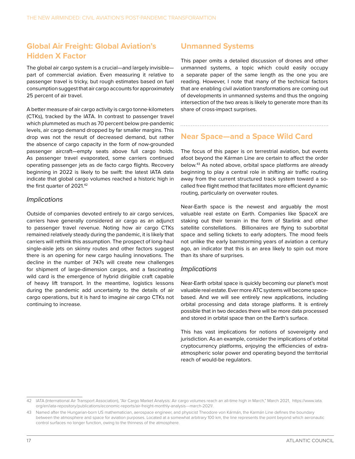#### **Global Air Freight: Global Aviation's Hidden X Factor**

The global air cargo system is a crucial—and largely invisible part of commercial aviation. Even measuring it relative to passenger travel is tricky, but rough estimates based on fuel consumption suggest that air cargo accounts for approximately 25 percent of air travel.

A better measure of air cargo activity is cargo tonne-kilometers (CTKs), tracked by the IATA. In contrast to passenger travel which plummeted as much as 70 percent below pre-pandemic levels, air cargo demand dropped by far smaller margins. This drop was not the result of decreased demand, but rather the absence of cargo capacity in the form of now-grounded passenger aircraft—empty seats above full cargo holds. As passenger travel evaporated, some carriers continued operating passenger jets as de facto cargo flights. Recovery beginning in 2022 is likely to be swift: the latest IATA data indicate that global cargo volumes reached a historic high in the first quarter of 2021.<sup>42</sup>

#### *Implications*

Outside of companies devoted entirely to air cargo services, carriers have generally considered air cargo as an adjunct to passenger travel revenue. Noting how air cargo CTKs remained relatively steady during the pandemic, it is likely that carriers will rethink this assumption. The prospect of long-haul single-aisle jets on skinny routes and other factors suggest there is an opening for new cargo hauling innovations. The decline in the number of 747s will create new challenges for shipment of large-dimension cargos, and a fascinating wild card is the emergence of hybrid dirigible craft capable of heavy lift transport. In the meantime, logistics lessons during the pandemic add uncertainty to the details of air cargo operations, but it is hard to imagine air cargo CTKs not continuing to increase.

#### **Unmanned Systems**

This paper omits a detailed discussion of drones and other unmanned systems, a topic which could easily occupy a separate paper of the same length as the one you are reading. However, I note that many of the technical factors that are enabling civil aviation transformations are coming out of developments in unmanned systems and thus the ongoing intersection of the two areas is likely to generate more than its share of cross-impact surprises.

#### **Near Space—and a Space Wild Card**

The focus of this paper is on terrestrial aviation, but events afoot beyond the Kárman Line are certain to affect the order below.43 As noted above, orbital space platforms are already beginning to play a central role in shifting air traffic routing away from the current structured track system toward a socalled free flight method that facilitates more efficient dynamic routing, particularly on overwater routes.

Near-Earth space is the newest and arguably the most valuable real estate on Earth. Companies like SpaceX are staking out their terrain in the form of Starlink and other satellite constellations. Billionaires are flying to suborbital space and selling tickets to early adopters. The mood feels not unlike the early barnstorming years of aviation a century ago, an indicator that this is an area likely to spin out more than its share of surprises.

#### *Implications*

Near-Earth orbital space is quickly becoming our planet's most valuable real estate. Ever more ATC systems will become spacebased. And we will see entirely new applications, including orbital processing and data storage platforms. It is entirely possible that in two decades there will be more data processed and stored in orbital space than on the Earth's surface.

This has vast implications for notions of sovereignty and jurisdiction. As an example, consider the implications of orbital cryptocurrency platforms, enjoying the efficiencies of extraatmospheric solar power and operating beyond the territorial reach of would-be regulators.

<sup>42</sup> IATA (International Air Transport Association), "Air Cargo Market Analysis: Air cargo volumes reach an all-time high in March," March 2021, [https://www.iata.](https://www.iata.org/en/iata-repository/publications/economic-reports/air-freight-monthly-analysis---march-2021/) [org/en/iata-repository/publications/economic-reports/air-freight-monthly-analysis---march-2021/](https://www.iata.org/en/iata-repository/publications/economic-reports/air-freight-monthly-analysis---march-2021/).

<sup>43</sup> Named after the Hungarian-born US mathematician, aerospace engineer, and physicist Theodore von Kármán, the Karmán Line defines the boundary between the atmosphere and space for aviation purposes. Located at a somewhat arbitrary 100 km, the line represents the point beyond which aeronautic control surfaces no longer function, owing to the thinness of the atmosphere.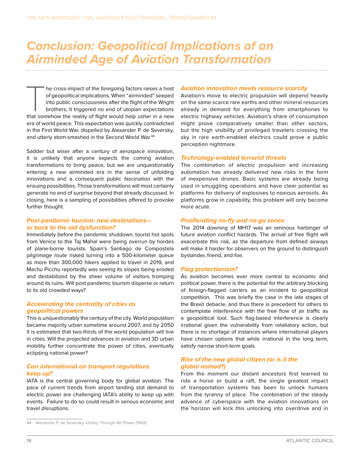## *Conclusion: Geopolitical Implications of an Airminded Age of Aviation Transformation*

he cross-impact of the foregoing factors raises a host<br>of geopolitical implications. When "airminded" seeped<br>into public consciousness after the flight of the Wright<br>brothers, it triggered no end of utopian expectations<br>th he cross-impact of the foregoing factors raises a host of geopolitical implications. When "airminded" seeped into public consciousness after the flight of the Wright brothers, it triggered no end of utopian expectations era of world peace. This expectation was quickly contradicted in the First World War, dispelled by Alexander P. de Seversky, and utterly atom-smashed in the Second World War.<sup>44</sup>

Sadder but wiser after a century of aerospace innovation, it is unlikely that anyone expects the coming aviation transformations to bring peace, but we are unquestionably entering a new airminded era in the sense of unfolding innovations and a consequent public fascination with the ensuing possibilities. Those transformations will most certainly generate no end of surprise beyond that already discussed. In closing, here is a sampling of possibilities offered to provoke further thought.

#### *Post-pandemic tourism: new destinations or back to the old dysfunction?*

Immediately before the pandemic shutdown, tourist hot spots from Venice to the Taj Mahal were being overrun by hordes of plane-borne tourists. Spain's Santiago de Compostela pilgrimage route risked turning into a 500-kilometer queue as more than 300,000 hikers applied to travel in 2019, and Machu Picchu reportedly was seeing its slopes being eroded and destabilized by the sheer volume of visitors tromping around its ruins. Will post pandemic tourism disperse or return to its old crowded ways?

#### *Accelerating the centrality of cities as geopolitical powers*

This is unquestionably the century of the city. World population became majority urban sometime around 2007, and by 2050 it is estimated that two-thirds of the world population will live in cities. Will the projected advances in aviation and 3D urban mobility further concentrate the power of cities, eventually eclipsing national power?

#### *Can international air transport regulations keep up?*

IATA is the central governing body for global aviation. The pace of current trends from airport landing slot demand to electric power are challenging IATA's ability to keep up with events. Failure to do so could result in serious economic and travel disruptions.

#### *Aviation innovation meets resource scarcity*

Aviation's move to electric propulsion will depend heavily on the same scarce rare earths and other mineral resources already in demand for everything from smartphones to electric highway vehicles. Aviation's share of consumption might prove comparatively smaller than other sectors, but the high visibility of privileged travelers crossing the sky in rare earth-enabled electrics could prove a public perception nightmare.

#### *Technology-enabled terrorist threats*

The combination of electric propulsion and increasing automation has already delivered new risks in the form of inexpensive drones. Basic systems are already being used in smuggling operations and have clear potential as platforms for delivery of explosives to noxious aerosols. As platforms grow in capability, this problem will only become more acute.

#### *Proliferating no-fly and no-go zones*

The 2014 downing of MH17 was an ominous harbinger of future aviation conflict hazards. The arrival of free flight will exacerbate this risk, as the departure from defined airways will make it harder for observers on the ground to distinguish bystander, friend, and foe.

#### *Flag protectionism?*

As aviation becomes ever more central to economic and political power, there is the potential for the arbitrary blocking of foreign-flagged carriers as an incident to geopolitical competition. This was briefly the case in the late stages of the Brexit debacle, and thus there is precedent for others to contemplate interference with the free flow of air traffic as a geopolitical tool. Such flag-based interference is clearly irrational given the vulnerability from retaliatory action, but there is no shortage of instances where international players have chosen options that while irrational in the long term, satisfy narrow short-term goals.

#### *Rise of the new global citizen (or is it the global nomad?)*

From the moment our distant ancestors first learned to ride a horse or build a raft, the single greatest impact of transportation systems has been to unlock humans from the tyranny of place. The combination of the steady advance of cyberspace with the aviation innovations on the horizon will kick this unlocking into overdrive and in

<sup>44</sup> Alexander P. de Seversky, *Victory Through Air Power* (1942).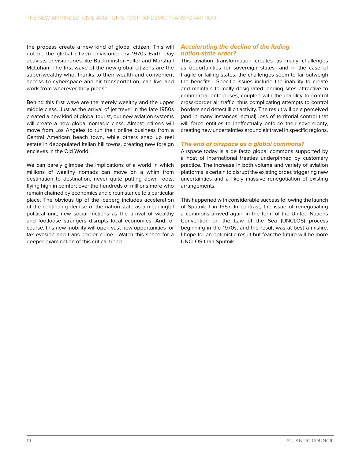the process create a new kind of global citizen. This will not be the global citizen envisioned by 1970s Earth Day activists or visionaries like Buckminster Fuller and Marshall McLuhan. The first wave of the new global citizens are the super-wealthy who, thanks to their wealth and convenient access to cyberspace and air transportation, can live and work from wherever they please.

Behind this first wave are the merely wealthy and the upper middle class. Just as the arrival of jet travel in the late 1950s created a new kind of global tourist, our new aviation systems will create a new global nomadic class. Almost-retirees will move from Los Angeles to run their online business from a Central American beach town, while others snap up real estate in depopulated Italian hill towns, creating new foreign enclaves in the Old World.

We can barely glimpse the implications of a world in which millions of wealthy nomads can move on a whim from destination to destination, never quite putting down roots, flying high in comfort over the hundreds of millions more who remain chained by economics and circumstance to a particular place. The obvious tip of the iceberg includes acceleration of the continuing demise of the nation-state as a meaningful political unit, new social frictions as the arrival of wealthy and footloose strangers disrupts local economies. And, of course, this new mobility will open vast new opportunities for tax evasion and trans-border crime. Watch this space for a deeper examination of this critical trend.

#### *Accelerating the decline of the fading nation-state order?*

This aviation transformation creates as many challenges as opportunities for sovereign states—and in the case of fragile or failing states, the challenges seem to far outweigh the benefits. Specific issues include the inability to create and maintain formally designated landing sites attractive to commercial enterprises, coupled with the inability to control cross-border air traffic, thus complicating attempts to control borders and detect illicit activity. The result will be a perceived (and in many instances, actual) loss of territorial control that will force entities to ineffectually enforce their sovereignty, creating new uncertainties around air travel in specific regions.

#### *The end of airspace as a global commons?*

Airspace today is a de facto global commons supported by a host of international treaties underpinned by customary practice. The increase in both volume and variety of aviation platforms is certain to disrupt the existing order, triggering new uncertainties and a likely massive renegotiation of existing arrangements.

This happened with considerable success following the launch of Sputnik 1 in 1957. In contrast, the issue of renegotiating a commons arrived again in the form of the United Nations Convention on the Law of the Sea (UNCLOS) process beginning in the 1970s, and the result was at best a misfire. I hope for an optimistic result but fear the future will be more UNCLOS than Sputnik.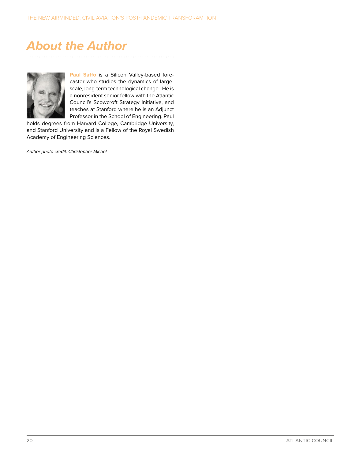## <span id="page-24-0"></span>*About the Author*



**Paul Saffo** is a Silicon Valley-based forecaster who studies the dynamics of largescale, long-term technological change. He is a nonresident senior fellow with the Atlantic Council's Scowcroft Strategy Initiative, and teaches at Stanford where he is an Adjunct Professor in the School of Engineering. Paul

holds degrees from Harvard College, Cambridge University, and Stanford University and is a Fellow of the Royal Swedish Academy of Engineering Sciences.

*Author photo credit: Christopher Michel*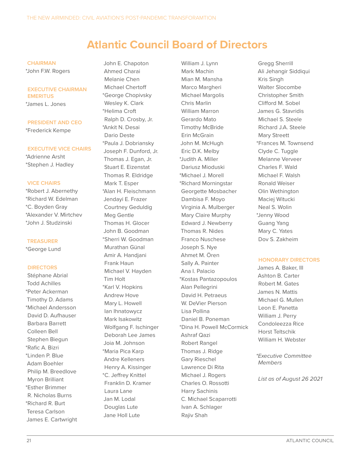### **Atlantic Council Board of Directors**

#### **CHAIRMAN**

\*John F.W. Rogers

#### **EXECUTIVE CHAIRMAN EMERITUS**

\*James L. Jones

#### **PRESIDENT AND CEO**

\*Frederick Kempe

#### **EXECUTIVE VICE CHAIRS**

\*Adrienne Arsht \*Stephen J. Hadley

#### **VICE CHAIRS**

\*Robert J. Abernethy \*Richard W. Edelman \*C. Boyden Gray \*Alexander V. Mirtchev \*John J. Studzinski

#### **TREASURER**

\*George Lund

#### **DIRECTORS**

Stéphane Abrial Todd Achilles \*Peter Ackerman Timothy D. Adams \*Michael Andersson David D. Aufhauser Barbara Barrett Colleen Bell Stephen Biegun \*Rafic A. Bizri \*Linden P. Blue Adam Boehler Philip M. Breedlove Myron Brilliant \*Esther Brimmer R. Nicholas Burns \*Richard R. Burt Teresa Carlson James E. Cartwright

John E. Chapoton Ahmed Charai Melanie Chen Michael Chertoff \*George Chopivsky Wesley K. Clark \*Helima Croft Ralph D. Crosby, Jr. \*Ankit N. Desai Dario Deste \*Paula J. Dobriansky Joseph F. Dunford, Jr. Thomas J. Egan, Jr. Stuart E. Eizenstat Thomas R. Eldridge Mark T. Esper \*Alan H. Fleischmann Jendayi E. Frazer Courtney Geduldig Meg Gentle Thomas H. Glocer John B. Goodman \*Sherri W. Goodman Murathan Günal Amir A. Handjani Frank Haun Michael V. Hayden Tim Holt \*Karl V. Hopkins Andrew Hove Mary L. Howell Ian Ihnatowycz Mark Isakowitz Wolfgang F. Ischinger Deborah Lee James Joia M. Johnson \*Maria Pica Karp Andre Kelleners Henry A. Kissinger \*C. Jeffrey Knittel Franklin D. Kramer Laura Lane Jan M. Lodal Douglas Lute Jane Holl Lute

William J. Lynn Mark Machin Mian M. Mansha Marco Margheri Michael Margolis Chris Marlin William Marron Gerardo Mato Timothy McBride Erin McGrain John M. McHugh Eric D.K. Melby \*Judith A. Miller Dariusz Mioduski \*Michael J. Morell \*Richard Morningstar Georgette Mosbacher Dambisa F. Moyo Virginia A. Mulberger Mary Claire Murphy Edward J. Newberry Thomas R. Nides Franco Nuschese Joseph S. Nye Ahmet M. Ören Sally A. Painter Ana I. Palacio \*Kostas Pantazopoulos Alan Pellegrini David H. Petraeus W. DeVier Pierson Lisa Pollina Daniel B. Poneman \*Dina H. Powell McCormick Ashraf Qazi Robert Rangel Thomas J. Ridge Gary Rieschel Lawrence Di Rita Michael J. Rogers Charles O. Rossotti Harry Sachinis C. Michael Scaparrotti Ivan A. Schlager Rajiv Shah

Gregg Sherrill Ali Jehangir Siddiqui Kris Singh Walter Slocombe Christopher Smith Clifford M. Sobel James G. Stavridis Michael S. Steele Richard J.A. Steele Mary Streett \*Frances M. Townsend Clyde C. Tuggle Melanne Verveer Charles F. Wald Michael F. Walsh Ronald Weiser Olin Wethington Maciej Witucki Neal S. Wolin \*Jenny Wood Guang Yang Mary C. Yates Dov S. Zakheim

#### **HONORARY DIRECTORS**

James A. Baker, III Ashton B. Carter Robert M. Gates James N. Mattis Michael G. Mullen Leon E. Panetta William J. Perry Condoleezza Rice Horst Teltschik William H. Webster

*\*Executive Committee Members*

*List as of August 26 2021*